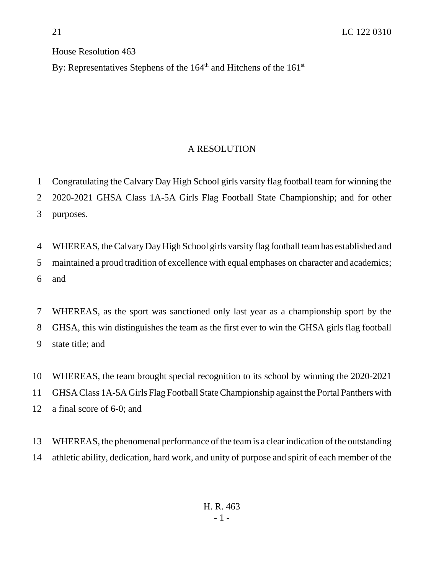House Resolution 463

By: Representatives Stephens of the  $164<sup>th</sup>$  and Hitchens of the  $161<sup>st</sup>$ 

## A RESOLUTION

 Congratulating the Calvary Day High School girls varsity flag football team for winning the 2020-2021 GHSA Class 1A-5A Girls Flag Football State Championship; and for other purposes.

 WHEREAS, the Calvary Day High School girls varsity flag football team has established and maintained a proud tradition of excellence with equal emphases on character and academics; and

 WHEREAS, as the sport was sanctioned only last year as a championship sport by the GHSA, this win distinguishes the team as the first ever to win the GHSA girls flag football state title; and

 WHEREAS, the team brought special recognition to its school by winning the 2020-2021 GHSA Class 1A-5A Girls Flag Football State Championship against the Portal Panthers with a final score of 6-0; and

 WHEREAS, the phenomenal performance of the team is a clear indication of the outstanding athletic ability, dedication, hard work, and unity of purpose and spirit of each member of the